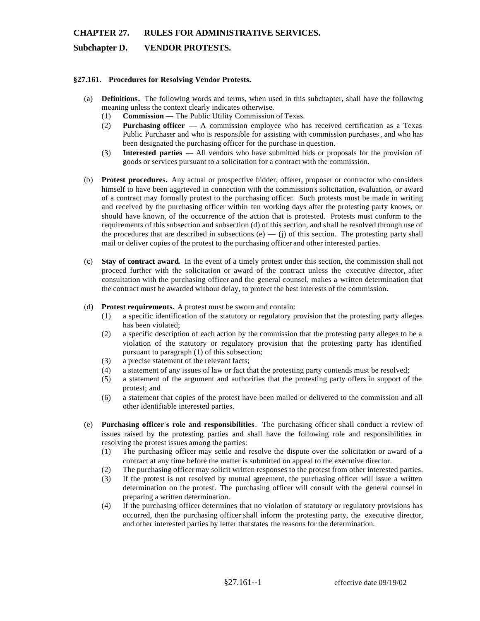## **CHAPTER 27. RULES FOR ADMINISTRATIVE SERVICES.**

### **Subchapter D. VENDOR PROTESTS.**

#### **§27.161. Procedures for Resolving Vendor Protests.**

- (a) **Definitions.** The following words and terms, when used in this subchapter, shall have the following meaning unless the context clearly indicates otherwise.
	- (1) **Commission**  The Public Utility Commission of Texas.
	- (2) **Purchasing officer** A commission employee who has received certification as a Texas Public Purchaser and who is responsible for assisting with commission purchases , and who has been designated the purchasing officer for the purchase in question.
	- (3) **Interested parties**  All vendors who have submitted bids or proposals for the provision of goods or services pursuant to a solicitation for a contract with the commission.
- (b) **Protest procedures.** Any actual or prospective bidder, offerer, proposer or contractor who considers himself to have been aggrieved in connection with the commission's solicitation, evaluation, or award of a contract may formally protest to the purchasing officer. Such protests must be made in writing and received by the purchasing officer within ten working days after the protesting party knows, or should have known, of the occurrence of the action that is protested. Protests must conform to the requirements of this subsection and subsection (d) of this section, and shall be resolved through use of the procedures that are described in subsections  $(e)$  — (j) of this section. The protesting party shall mail or deliver copies of the protest to the purchasing officer and other interested parties.
- (c) **Stay of contract award.** In the event of a timely protest under this section, the commission shall not proceed further with the solicitation or award of the contract unless the executive director, after consultation with the purchasing officer and the general counsel, makes a written determination that the contract must be awarded without delay, to protect the best interests of the commission.

#### (d) **Protest requirements.** A protest must be sworn and contain:

- (1) a specific identification of the statutory or regulatory provision that the protesting party alleges has been violated;
- (2) a specific description of each action by the commission that the protesting party alleges to be a violation of the statutory or regulatory provision that the protesting party has identified pursuant to paragraph (1) of this subsection;
- (3) a precise statement of the relevant facts;
- (4) a statement of any issues of law or fact that the protesting party contends must be resolved;
- (5) a statement of the argument and authorities that the protesting party offers in support of the protest; and
- (6) a statement that copies of the protest have been mailed or delivered to the commission and all other identifiable interested parties.
- (e) **Purchasing officer's role and responsibilities**. The purchasing officer shall conduct a review of issues raised by the protesting parties and shall have the following role and responsibilities in resolving the protest issues among the parties:
	- (1) The purchasing officer may settle and resolve the dispute over the solicitation or award of a contract at any time before the matter is submitted on appeal to the executive director.
	- (2) The purchasing officer may solicit written responses to the protest from other interested parties.
	- (3) If the protest is not resolved by mutual agreement, the purchasing officer will issue a written determination on the protest. The purchasing officer will consult with the general counsel in preparing a written determination.
	- $(4)$ If the purchasing officer determines that no violation of statutory or regulatory provisions has occurred, then the purchasing officer shall inform the protesting party, the executive director, and other interested parties by letter that states the reasons for the determination.